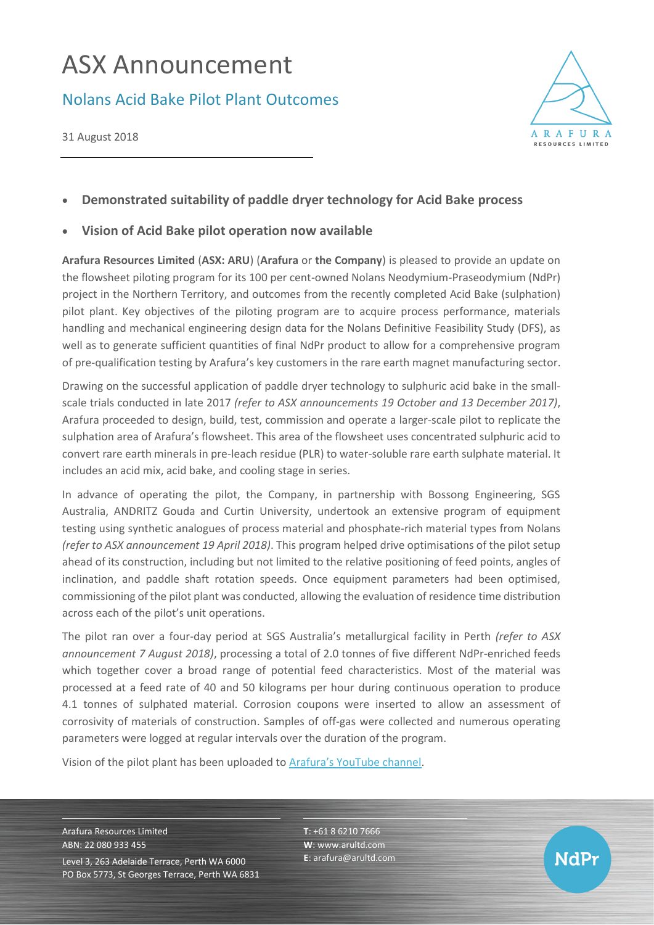# ASX Announcement

## Nolans Acid Bake Pilot Plant Outcomes

31 August 2018



### • **Demonstrated suitability of paddle dryer technology for Acid Bake process**

#### • **Vision of Acid Bake pilot operation now available**

**Arafura Resources Limited** (**ASX: ARU**) (**Arafura** or **the Company**) is pleased to provide an update on the flowsheet piloting program for its 100 per cent-owned Nolans Neodymium-Praseodymium (NdPr) project in the Northern Territory, and outcomes from the recently completed Acid Bake (sulphation) pilot plant. Key objectives of the piloting program are to acquire process performance, materials handling and mechanical engineering design data for the Nolans Definitive Feasibility Study (DFS), as well as to generate sufficient quantities of final NdPr product to allow for a comprehensive program of pre-qualification testing by Arafura's key customers in the rare earth magnet manufacturing sector.

Drawing on the successful application of paddle dryer technology to sulphuric acid bake in the smallscale trials conducted in late 2017 *(refer to ASX announcements 19 October and 13 December 2017)*, Arafura proceeded to design, build, test, commission and operate a larger-scale pilot to replicate the sulphation area of Arafura's flowsheet. This area of the flowsheet uses concentrated sulphuric acid to convert rare earth minerals in pre-leach residue (PLR) to water-soluble rare earth sulphate material. It includes an acid mix, acid bake, and cooling stage in series.

In advance of operating the pilot, the Company, in partnership with Bossong Engineering, SGS Australia, ANDRITZ Gouda and Curtin University, undertook an extensive program of equipment testing using synthetic analogues of process material and phosphate-rich material types from Nolans *(refer to ASX announcement 19 April 2018)*. This program helped drive optimisations of the pilot setup ahead of its construction, including but not limited to the relative positioning of feed points, angles of inclination, and paddle shaft rotation speeds. Once equipment parameters had been optimised, commissioning of the pilot plant was conducted, allowing the evaluation of residence time distribution across each of the pilot's unit operations.

The pilot ran over a four-day period at SGS Australia's metallurgical facility in Perth *(refer to ASX announcement 7 August 2018)*, processing a total of 2.0 tonnes of five different NdPr-enriched feeds which together cover a broad range of potential feed characteristics. Most of the material was processed at a feed rate of 40 and 50 kilograms per hour during continuous operation to produce 4.1 tonnes of sulphated material. Corrosion coupons were inserted to allow an assessment of corrosivity of materials of construction. Samples of off-gas were collected and numerous operating parameters were logged at regular intervals over the duration of the program.

Vision of the pilot plant has been uploaded to [Arafura's YouTube channel](https://www.youtube.com/channel/UChj5-NWQJZhkod7TbaRKbfw).

Arafura Resources Limited ABN: 22 080 933 455 Level 3, 263 Adelaide Terrace, Perth WA 6000 PO Box 5773, St Georges Terrace, Perth WA 6831 **T**: +61 8 6210 7666 **W**: [www.arultd.com](http://www.arultd.com/) **E**[: arafura@arultd.com](mailto:arafura@arultd.com)